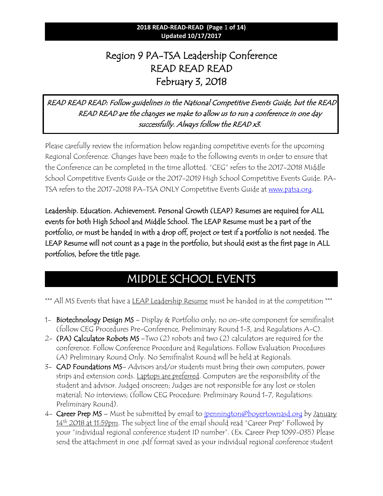### **2018 READ-READ-READ (Page** 1 **of 14) Updated 10/17/2017**

# Region 9 PA-TSA Leadership Conference READ READ READ February 3, 2018

### READ READ READ: Follow guidelines in the National Competitive Events Guide, but the READ READ READ are the changes we make to allow us to run a conference in one day successfully. Always follow the READ x3.

Please carefully review the information below regarding competitive events for the upcoming Regional Conference. Changes have been made to the following events in order to ensure that the Conference can be completed in the time allotted. "CEG" refers to the 2017-2018 Middle School Competitive Events Guide or the 2017-2019 High School Competitive Events Guide. PATSA refers to the 2017-2018 PA-TSA ONLY Competitive Events Guide at [www.patsa.org.](http://www.patsa.org/)

Leadership. Education. Achievement. Personal Growth (LEAP) Resumes are required for ALL events for both High School and Middle School. The LEAP Resume must be a part of the portfolio, or must be handed in with a drop off, project or test if a portfolio is not needed. The LEAP Resume will not count as a page in the portfolio, but should exist as the first page in ALL portfolios, before the title page.

# MIDDLE SCHOOL EVENTS

\*\*\* All MS Events that have a <u>LEAP Leadership Resume</u> must be handed in at the competition \*\*\*

- 1- Biotechnology Design MS Display & Portfolio only; no on-site component for semifinalist (follow CEG Procedures Pre-Conference, Preliminary Round 1-3, and Regulations A-C).
- 2- (PA) Calculator Robots MS –Two (2) robots and two (2) calculators are required for the conference. Follow Conference Procedure and Regulations. Follow Evaluation Procedures (A) Preliminary Round Only. No Semifinalist Round will be held at Regionals.
- 3- CAD Foundations MS– Advisors and/or students must bring their own computers, power strips and extension cords. Laptops are preferred. Computers are the responsibility of the student and advisor. Judged onscreen; Judges are not responsible for any lost or stolen material; No interviews; (follow CEG Procedure: Preliminary Round 1-7, Regulations: Preliminary Round).
- 4- Career Prep MS Must be submitted by email to <u>ipennington@boyertownasd.org</u> by January 14<sup>th</sup> 2018 at 11:59pm. The subject line of the email should read "Career Prep" Followed by your "individual regional conference student ID number". (Ex. Career Prep 1099-035) Please send the attachment in one .pdf format saved as your individual regional conference student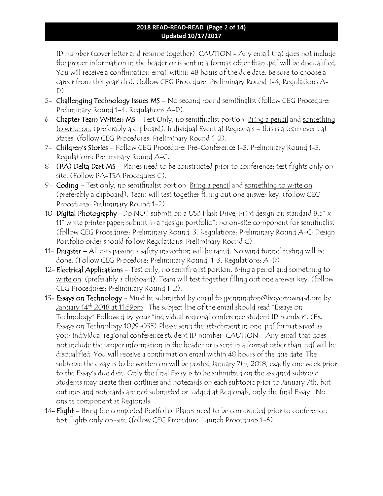### **2018 READ-READ-READ (Page** 2 **of 14) Updated 10/17/2017**

ID number (cover letter and resume together). CAUTION - Any email that does not include the proper information in the header or is sent in a format other than .pdf will be disqualified. You will receive a confirmation email within 48 hours of the due date. Be sure to choose a career from this year's list. (follow CEG Procedure: Preliminary Round 1-4, Regulations A- $D$ ).

- 5- Challenging Technology Issues MS No second round semifinalist (follow CEG Procedure: Preliminary Round 1-4, Regulations A-D).
- 6- Chapter Team Written MS Test Only, no semifinalist portion. Bring a pencil and something to write on, (preferably a clipboard). Individual Event at Regionals – this is a team event at States. (follow CEG Procedures: Preliminary Round 1-2).
- 7- Children's Stories Follow CEG Procedure: Pre-Conference 1-3, Preliminary Round 1-3, Regulations: Preliminary Round A-C.
- 8- (PA) Delta Dart MS Planes need to be constructed prior to conference; test flights only onsite. (Follow PA-TSA Procedures C).
- 9- Coding Test only, no semifinalist portion. Bring a pencil and something to write on, (preferably a clipboard). Team will test together filling out one answer key. (follow CEG Procedures: Preliminary Round 1-2).
- 10-Digital Photography -Do NOT submit on a USB Flash Drive; Print design on standard 8.5" x 11" white printer paper; submit in a "design portfolio"; no on-site component for semifinalist (follow CEG Procedures: Preliminary Round, 3, Regulations: Preliminary Round A-C; Design Portfolio order should follow Regulations: Preliminary Round C).
- 11- Dragster All cars passing a safety inspection will be raced; No wind tunnel testing will be done. (Follow CEG Procedure: Preliminary Round, 1-3, Regulations: A-D).
- 12- Electrical Applications Test only, no semifinalist portion. Bring a pencil and something to write on, (preferably a clipboard). Team will test together filling out one answer key. (follow CEG Procedures: Preliminary Round 1-2).
- 13- Essays on Technology Must be submitted by email to jpennington@boyertownasd.org by January 14<sup>th</sup> 2018 at 11:59pm. The subject line of the email should read "Essays on Technology" Followed by your "individual regional conference student ID number". (Ex. Essays on Technology 1099-035) Please send the attachment in one .pdf format saved as your individual regional conference student ID number. CAUTION - Any email that does not include the proper information in the header or is sent in a format other than .pdf will be disqualified. You will receive a confirmation email within 48 hours of the due date. The subtopic the essay is to be written on will be posted January 7th, 2018, exactly one week prior to the Essay's due date. Only the final Essay is to be submitted on the assigned subtopic. Students may create their outlines and notecards on each subtopic prior to January 7th, but outlines and notecards are not submitted or judged at Regionals, only the final Essay. No onsite component at Regionals.
- 14- Flight Bring the completed Portfolio. Planes need to be constructed prior to conference; test flights only on-site (follow CEG Procedure: Launch Procedures 1-6).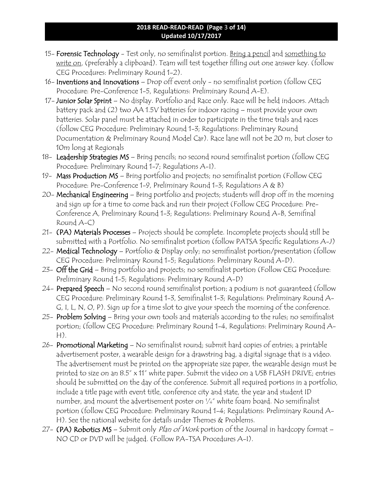### **2018 READ-READ-READ (Page** 3 **of 14) Updated 10/17/2017**

- 15- Forensic Technology Test only, no semifinalist portion. Bring a pencil and something to write on, (preferably a clipboard). Team will test together filling out one answer key. (follow CEG Procedures: Preliminary Round 1-2).
- 16- Inventions and Innovations Drop off event only no semifinalist portion (follow CEG Procedure: Pre-Conference 1-5, Regulations: Preliminary Round A-E).
- 17- Junior Solar Sprint No display. Portfolio and Race only. Race will be held indoors. Attach battery pack and (2) two AA 1.5V batteries for indoor racing – must provide your own batteries. Solar panel must be attached in order to participate in the time trials and races (follow CEG Procedure: Preliminary Round 1-3; Regulations: Preliminary Round Documentation & Preliminary Round Model Car). Race lane will not be 20 m, but closer to 10m long at Regionals
- 18- Leadership Strategies MS Bring pencils; no second round semifinalist portion (follow CEG Procedure: Preliminary Round 1-7; Regulations A-I).
- 19- Mass Production MS Bring portfolio and projects; no semifinalist portion (Follow CEG Procedure: Pre-Conference 1-9, Preliminary Round 1-3; Regulations A & B)
- 20- Mechanical Engineering Bring portfolio and projects; students will drop off in the morning and sign up for a time to come back and run their project (Follow CEG Procedure: Pre-Conference A, Preliminary Round 1-3; Regulations: Preliminary Round A-B, Semifinal Round A-C)
- 21- (PA) Materials Processes Projects should be complete. Incomplete projects should still be submitted with a Portfolio. No semifinalist portion (follow PATSA Specific Regulations A-J)
- 22- **Medical Technology** Portfolio & Display only; no semifinalist portion/presentation (follow CEG Procedure: Preliminary Round 1-5; Regulations: Preliminary Round A-D).
- 23-  $\widehat{\text{Off}}$  the Grid Bring portfolio and projects; no semifinalist portion (Follow CEG Procedure: Preliminary Round 1-5; Regulations: Preliminary Round A-D)
- 24- Prepared Speech No second round semifinalist portion; a podium is not quaranteed (follow CEG Procedure: Preliminary Round 1-3, Semifinalist 1-3; Regulations: Preliminary Round A-G, I, L, N, O, P). Sign up for a time slot to give your speech the morning of the conference.
- 25- Problem Solving Bring your own tools and materials according to the rules; no semifinalist portion; (follow CEG Procedure: Preliminary Round 1-4, Regulations: Preliminary Round A- $H$ ).
- 26- Promotional Marketing No semifinalist round; submit hard copies of entries; a printable advertisement poster, a wearable design for a drawstring bag, a digital signage that is a video. The advertisement must be printed on the appropriate size paper, the wearable design must be printed to size on an 8.5" x 11" white paper. Submit the video on a USB FLASH DRIVE; entries should be submitted on the day of the conference. Submit all required portions in a portfolio, include a title page with event title, conference city and state, the year and student ID number, and mount the advertisement poster on ¼" white foam board. No semifinalist portion (follow CEG Procedure: Preliminary Round 1-4; Regulations: Preliminary Round A-H). See the national website for details under Themes & Problems.
- 27- (PA) Robotics MS Submit only Plan of Work portion of the Journal in hardcopy format -NO CD or DVD will be judged. (Follow PA-TSA Procedures A-I).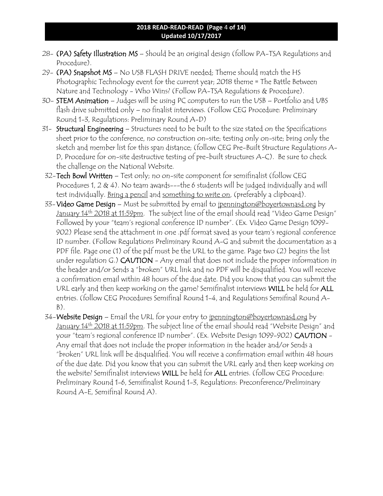#### **2018 READ-READ-READ (Page** 4 **of 14) Updated 10/17/2017**

- 28- (PA) Safety Illustration MS Should be an original design (follow PA-TSA Regulations and Procedure).
- 29- (PA) Snapshot MS No USB FLASH DRIVE needed; Theme should match the HS Photographic Technology event for the current year; 2018 theme  $\epsilon$  The Battle Between Nature and Technology - Who Wins? (Follow PA-TSA Regulations & Procedure).
- 30- STEM Animation Judges will be using PC computers to run the USB Portfolio and UBS flash drive submitted only – no finalist interviews. (Follow CEG Procedure: Preliminary Round 1-3, Regulations: Preliminary Round A-D)
- 31- Structural Engineering Structures need to be built to the size stated on the Specifications sheet prior to the conference, no construction on-site; testing only on-site; bring only the sketch and member list for this span distance; (follow CEG Pre-Built Structure Regulations A-D, Procedure for on-site destructive testing of pre-built structures A-C). Be sure to check the challenge on the National Website.
- 32-Tech Bowl Written Test only; no on-site component for semifinalist (follow CEG Procedures 1, 2  $\&$  4). No team awards---the 6 students will be judged individually and will test individually. Bring a pencil and something to write on, (preferably a clipboard).
- 33-Video Game Design Must be submitted by email to jpennington@boyertownasd.org by January 14<sup>th</sup> 2018 at 11:59pm. The subject line of the email should read "Video Game Design" Followed by your "team's regional conference ID number". (Ex. Video Game Design 1099- 902) Please send the attachment in one .pdf format saved as your team's regional conference ID number. (Follow Regulations Preliminary Round A-G and submit the documentation as a PDF file. Page one (1) of the pdf must be the URL to the game. Page two (2) begins the list under regulation G.) CAUTION - Any email that does not include the proper information in the header and/or Sends a "broken" URL link and no PDF will be disqualified. You will receive a confirmation email within 48 hours of the due date. Did you know that you can submit the URL early and then keep working on the game? Semifinalist interviews WILL be held for ALL entries. (follow CEG Procedures Semifinal Round 1-4, and Regulations Semifinal Round A-B).
- 34-Website Design Email the URL for your entry to jpennington@boyertownasd.org by January 14<sup>th</sup> 2018 at 11:59pm. The subject line of the email should read "Website Design" and your "team's regional conference ID number". (Ex. Website Design 1099-902) CAUTION - Any email that does not include the proper information in the header and/or Sends a "broken" URL link will be disqualified. You will receive a confirmation email within 48 hours of the due date. Did you know that you can submit the URL early and then keep working on the website? Semifinalist interviews WILL be held for ALL entries. (follow CEG Procedure: Preliminary Round 1-6, Semifinalist Round 1-3, Regulations: Preconference/Preliminary Round A-E, Semifinal Round A).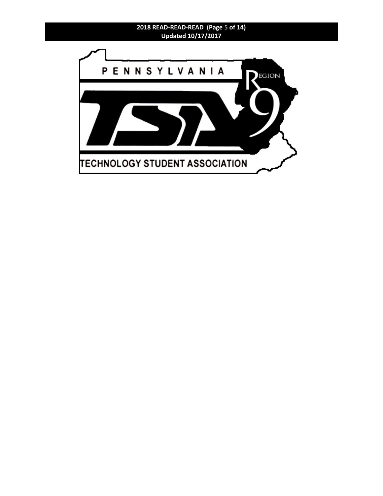### **2018 READ-READ-READ (Page** 5 **of 14) Updated 10/17/2017**

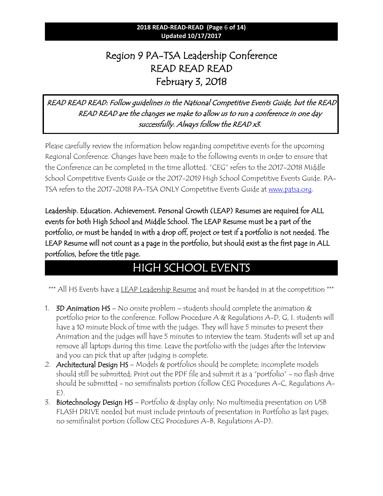### **2018 READ-READ-READ (Page** 6 **of 14) Updated 10/17/2017**

# Region 9 PA-TSA Leadership Conference READ READ READ February 3, 2018

### READ READ READ: Follow guidelines in the National Competitive Events Guide, but the READ READ READ are the changes we make to allow us to run a conference in one day successfully. Always follow the READ x3.

Please carefully review the information below regarding competitive events for the upcoming Regional Conference. Changes have been made to the following events in order to ensure that the Conference can be completed in the time allotted. "CEG" refers to the 2017-2018 Middle School Competitive Events Guide or the 2017-2019 High School Competitive Events Guide. PATSA refers to the 2017-2018 PA-TSA ONLY Competitive Events Guide at [www.patsa.org.](http://www.patsa.org/)

Leadership. Education. Achievement. Personal Growth (LEAP) Resumes are required for ALL events for both High School and Middle School. The LEAP Resume must be a part of the portfolio, or must be handed in with a drop off, project or test if a portfolio is not needed. The LEAP Resume will not count as a page in the portfolio, but should exist as the first page in ALL portfolios, before the title page.

# HIGH SCHOOL EVENTS

\*\*\* All HS Events have a LEAP Leadership Resume and must be handed in at the competition \*\*\*

- 1. **3D Animation HS** No onsite problem students should complete the animation  $\&$ portfolio prior to the conference. Follow Procedure A & Regulations A-D, G, I. students will have a 10 minute block of time with the judges. They will have 5 minutes to present their Animation and the judges will have 5 minutes to interview the team. Students will set up and remove all laptops during this time. Leave the portfolio with the judges after the Interview and you can pick that up after judging is complete.
- 2. Architectural Design HS Models & portfolios should be complete; incomplete models should still be submitted; Print out the PDF file and submit it as a "portfolio" - no flash drive should be submitted - no semifinalists portion (follow CEG Procedures A-C, Regulations A- $E$ ).
- 3. Biotechnology Design HS Portfolio & display only; No multimedia presentation on USB FLASH DRIVE needed but must include printouts of presentation in Portfolio as last pages; no semifinalist portion (follow CEG Procedures A-B, Regulations A-D).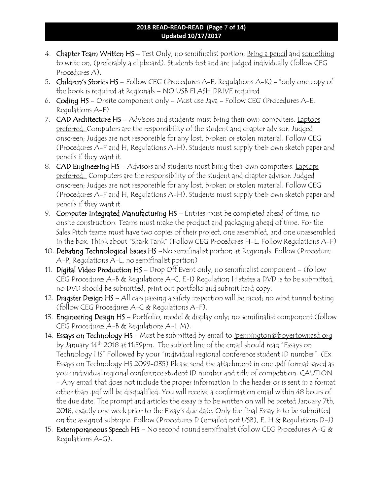### **2018 READ-READ-READ (Page** 7 **of 14) Updated 10/17/2017**

- 4. Chapter Team Written HS Test Only, no semifinalist portion; Bring a pencil and something to write on, (preferably a clipboard). Students test and are judged individually (follow CEG Procedures A).
- 5. Children's Stories HS Follow CEG (Procedures A-E, Regulations A-K) \*only one copy of the book is required at Regionals – NO USB FLASH DRIVE required
- 6. Coding HS Onsite component only Must use Java Follow CEG (Procedures A-E, Regulations A-F)
- 7. CAD Architecture HS Advisors and students must bring their own computers. Laptops preferred. Computers are the responsibility of the student and chapter advisor. Judged onscreen; Judges are not responsible for any lost, broken or stolen material. Follow CEG (Procedures A-F and H, Regulations A-H). Students must supply their own sketch paper and pencils if they want it.
- 8. CAD Engineering HS Advisors and students must bring their own computers. Laptops preferred. Computers are the responsibility of the student and chapter advisor. Judged onscreen; Judges are not responsible for any lost, broken or stolen material. Follow CEG (Procedures A-F and H, Regulations A-H). Students must supply their own sketch paper and pencils if they want it.
- 9. Computer Integrated Manufacturing HS Entries must be completed ahead of time, no onsite construction. Teams must make the product and packaging ahead of time. For the Sales Pitch teams must have two copies of their project, one assembled, and one unassembled in the box. Think about "Shark Tank" (Follow CEG Procedures H-L, Follow Regulations A-F)
- 10. Debating Technological Issues HS –No semifinalist portion at Regionals. Follow (Procedure A-P, Regulations A-L, no semifinalist portion)
- 11. Digital Video Production HS Drop Off Event only, no semifinalist component (follow CEG Procedures A-B & Regulations A-C, E-I) Regulation H states a DVD is to be submitted, no DVD should be submitted, print out portfolio and submit hard copy.
- 12. Dragster Design HS All cars passing a safety inspection will be raced; no wind tunnel testing (follow CEG Procedures A-C & Regulations A-F).
- 13. Engineering Design HS Portfolio, model & display only; no semifinalist component (follow CEG Procedures A-B & Regulations A-I, M).
- 14. Essays on Technology HS Must be submitted by email to jpennington@boyertownasd.org by January 14th 2018 at 11:59pm. The subject line of the email should read "Essays on Technology HS" Followed by your "individual regional conference student ID number". (Ex. Essays on Technology HS 2099-035) Please send the attachment in one .pdf format saved as your individual regional conference student ID number and title of competition. CAUTION - Any email that does not include the proper information in the header or is sent in a format other than .pdf will be disqualified. You will receive a confirmation email within 48 hours of the due date. The prompt and articles the essay is to be written on will be posted January 7th, 2018, exactly one week prior to the Essay's due date. Only the final Essay is to be submitted on the assigned subtopic. Follow (Procedures D (emailed not USB), E, H & Regulations D-J)
- 15. Extemporaneous Speech HS No second round semifinalist (follow CEG Procedures A-G & Regulations A-G).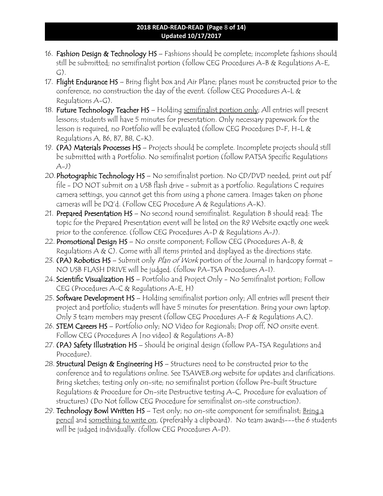### **2018 READ-READ-READ (Page** 8 **of 14) Updated 10/17/2017**

- 16. Fashion Design & Technology HS Fashions should be complete; incomplete fashions should still be submitted; no semifinalist portion (follow CEG Procedures A-B & Regulations A-E, G).
- 17. Flight Endurance HS Bring flight box and Air Plane; planes must be constructed prior to the conference, no construction the day of the event. (follow CEG Procedures A-L & Regulations A-G).
- 18. Future Technology Teacher HS Holding semifinalist portion only; All entries will present lessons; students will have 5 minutes for presentation. Only necessary paperwork for the lesson is required, no Portfolio will be evaluated (follow CEG Procedures D-F, H-L & Regulations A, B6, B7, B8, C-K).
- 19. (PA) Materials Processes HS Projects should be complete. Incomplete projects should still be submitted with a Portfolio. No semifinalist portion (follow PATSA Specific Regulations  $(A-1)$
- 20. Photographic Technology HS No semifinalist portion. No CD/DVD needed, print out pdf file - DO NOT submit on a USB flash drive - submit as a portfolio. Regulations C requires camera settings, you cannot get this from using a phone camera. Images taken on phone cameras will be DQ'd. (Follow CEG Procedure A & Regulations A-K).
- 21. Prepared Presentation HS No second round semifinalist. Regulation B should read: The topic for the Prepared Presentation event will be listed on the R9 Website exactly one week prior to the conference. (follow CEG Procedures A-D & Regulations A-J).
- 22. Promotional Design HS No onsite component; Follow CEG (Procedures A-B, & Regulations A & C). Come with all items printed and displayed as the directions state.
- 23. (PA) Robotics HS Submit only Plan of Work portion of the Journal in hardcopy format -NO USB FLASH DRIVE will be judged. (follow PA-TSA Procedures A-I).
- 24. Scientific Visualization HS Portfolio and Project Only No Semifinalist portion; Follow CEG (Procedures A-C & Regulations A-E, H)
- 25. Software Development HS Holding semifinalist portion only; All entries will present their project and portfolio; students will have 5 minutes for presentation. Bring your own laptop. Only 3 team members may present (follow CEG Procedures A-F & Regulations A,C).
- 26. STEM Careers HS Portfolio only; NO Video for Regionals; Drop off, NO onsite event. Follow CEG (Procedures A [no video] & Regulations A-B)
- 27. (PA) Safety Illustration HS Should be original design (follow PA-TSA Regulations and Procedure).
- 28. Structural Design & Engineering HS Structures need to be constructed prior to the conference and to regulations online. See TSAWEB.org website for updates and clarifications. Bring sketches; testing only on-site; no semifinalist portion (follow Pre-built Structure Regulations & Procedure for On-site Destructive testing A-C, Procedure for evaluation of structures) (Do Not follow CEG Procedure for semifinalist on-site construction).
- 29. Technology Bowl Written HS Test only; no on-site component for semifinalist; Bring a pencil and something to write on, (preferably a clipboard). No team awards---the 6 students will be judged individually. (follow CEG Procedures A-D).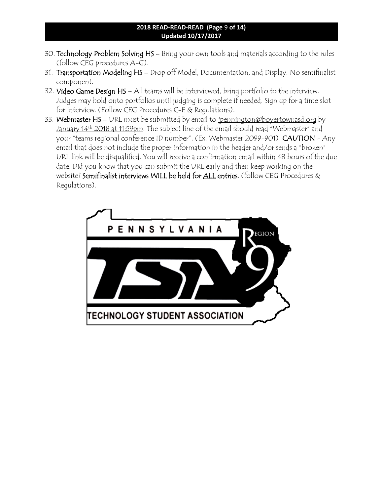### **2018 READ-READ-READ (Page** 9 **of 14) Updated 10/17/2017**

- 30. Technology Problem Solving HS Bring your own tools and materials according to the rules (follow CEG procedures A-G).
- 31. Transportation Modeling HS Drop off Model, Documentation, and Display. No semifinalist component.
- 32. Video Game Design HS All teams will be interviewed, bring portfolio to the interview. Judges may hold onto portfolios until judging is complete if needed. Sign up for a time slot for interview. (Follow CEG Procedures C-E & Regulations).
- 33. Webmaster HS URL must be submitted by email to jpennington@boyertownasd.org by January 14<sup>th</sup> 2018 at 11:59pm. The subject line of the email should read "Webmaster" and your "teams regional conference ID number". (Ex. Webmaster 2099-901) CAUTION - Any email that does not include the proper information in the header and/or sends a "broken" URL link will be disqualified. You will receive a confirmation email within 48 hours of the due date. Did you know that you can submit the URL early and then keep working on the website? Semifinalist interviews WILL be held for ALL entries. (follow CEG Procedures & Regulations).

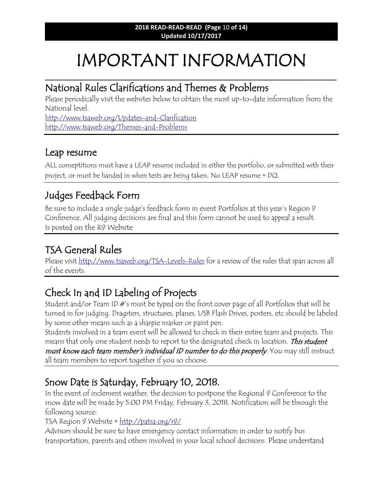# IMPORTANT INFORMATION

\_\_\_\_\_\_\_\_\_\_\_\_\_\_\_\_\_\_\_\_\_\_\_\_\_\_\_\_\_\_\_\_\_\_\_\_\_\_\_\_\_\_\_\_\_\_\_\_\_\_\_\_\_\_\_\_\_\_\_\_\_\_\_\_\_\_\_\_\_\_\_\_\_\_\_\_\_\_\_\_\_

## National Rules Clarifications and Themes & Problems

Please periodically visit the websites below to obtain the most up-to-date information from the National level.

<http://www.tsaweb.org/Updates-and-Clarification> <http://www.tsaweb.org/Themes-and-Problems>

## Leap resume

ALL comeptitions must have a LEAP resume included in either the portfolio, or submitted with their project, or must be handed in when tests are being taken. No LEAP resume = DQ.

# Judges Feedback Form

Be sure to include a single judge's feedback form in event Portfolios at this year's Region 9 Conference. All judging decisions are final and this form cannot be used to appeal a result. Is posted on the R9 Website

# TSA General Rules

Please visit<http://www.tsaweb.org/TSA-Levels-Rules> for a review of the rules that span across all of the events.

# Check In and ID Labeling of Projects

Student and/or Team ID #'s must be typed on the front cover page of all Portfolios that will be turned in for judging. Dragsters, structures, planes, USB Flash Drives, posters, etc should be labeled by some other means such as a sharpie marker or paint pen.

Students involved in a team event will be allowed to check in their entire team and projects. This means that only one student needs to report to the designated check in location. This student must know each team member's individual ID number to do this properly. You may still instruct all team members to report together if you so choose.

# Snow Date is Saturday, February 10, 2018.

In the event of inclement weather, the decision to postpone the Regional 9 Conference to the snow date will be made by 5:00 PM Friday, February 3, 2018. Notification will be through the following source:

TSA Region 9 Website =  $\frac{http://patsa.org/r9/}{$ 

Advisors should be sure to have emergency contact information in order to notify bus transportation, parents and others involved in your local school decisions. Please understand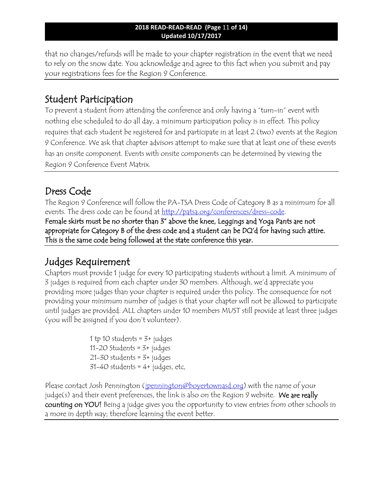that no changes/refunds will be made to your chapter registration in the event that we need to rely on the snow date. You acknowledge and agree to this fact when you submit and pay your registrations fees for the Region 9 Conference.

## Student Participation

To prevent a student from attending the conference and only having a "turn-in" event with nothing else scheduled to do all day, a minimum participation policy is in effect. This policy requires that each student be registered for and participate in at least 2 (two) events at the Region 9 Conference. We ask that chapter advisors attempt to make sure that at least one of these events has an onsite component. Events with onsite components can be determined by viewing the Region 9 Conference Event Matrix.

## Dress Code

The Region 9 Conference will follow the PA-TSA Dress Code of Category B as a minimum for all events. The dress code can be found at [http://patsa.org/conferences/dress-code.](http://patsa.org/conferences/dress-code)

Female skirts must be no shorter than 3" above the knee, Leggings and Yoga Pants are not appropriate for Category B of the dress code and a student can be DQ'd for having such attire. This is the same code being followed at the state conference this year.

## Judges Requirement

Chapters must provide 1 judge for every 10 participating students without a limit. A minimum of 3 judges is required from each chapter under 30 members. Although, we'd appreciate you providing more judges than your chapter is required under this policy. The consequence for not providing your minimum number of judges is that your chapter will not be allowed to participate until judges are provided. ALL chapters under 10 members MUST still provide at least three judges (you will be assigned if you don't volunteer).

> 1 tp 10 students =  $3+$  judges 11-20 Students = 3+ judges 21-30 students = 3+ judges  $31-40$  students =  $4+$  judges, etc,

Please contact Josh Pennington (*ipennington@boyertownasd.org*) with the name of your judge(s) and their event preferences, the link is also on the Region 9 website. We are really counting on YOU! Being a judge gives you the opportunity to view entries from other schools in a more in depth way; therefore learning the event better.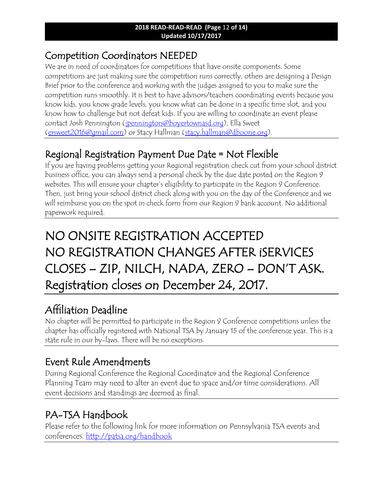## Competition Coordinators NEEDED

We are in need of coordinators for competitions that have onsite components. Some competitions are just making sure the competition runs correctly, others are designing a Design Brief prior to the conference and working with the judges assigned to you to make sure the competition runs smoothly. It is best to have advisors/teachers coordinating events because you know kids, you know grade levels, you know what can be done in a specific time slot, and you know how to challenge but not defeat kids. If you are willing to coordinate an event please contact Josh Pennington [\(jpennington@boyertownasd.org\)](mailto:jpennington@boyertownasd.org), Ella Sweet [\(ersweet2016@gmail.com\)](mailto:ersweet2016@gmail.com) or Stacy Hallman [\(stacy.hallman@dboone.org\)](mailto:stacy.hallman@dboone.org).

# Regional Registration Payment Due Date = Not Flexible

If you are having problems getting your Regional registration check cut from your school district business office, you can always send a personal check by the due date posted on the Region 9 websites. This will ensure your chapter's eligibility to participate in the Region 9 Conference. Then, just bring your school district check along with you on the day of the Conference and we will reimburse you on the spot in check form from our Region 9 bank account. No additional paperwork required.

# NO ONSITE REGISTRATION ACCEPTED NO REGISTRATION CHANGES AFTER iSERVICES CLOSES – ZIP, NILCH, NADA, ZERO – DON'T ASK. Registration closes on December 24, 2017.

# Affiliation Deadline

No chapter will be permitted to participate in the Region 9 Conference competitions unless the chapter has officially registered with National TSA by January 15 of the conference year. This is a state rule in our by-laws. There will be no exceptions.

# Event Rule Amendments

During Regional Conference the Regional Coordinator and the Regional Conference Planning Team may need to alter an event due to space and/or time considerations. All event decisions and standings are deemed as final.

# PA-TSA Handbook

Please refer to the following link for more information on Pennsylvania TSA events and conferences.<http://patsa.org/handbook>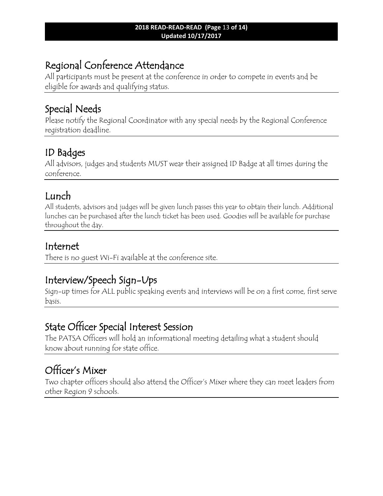# Regional Conference Attendance

All participants must be present at the conference in order to compete in events and be eligible for awards and qualifying status.

## Special Needs

Please notify the Regional Coordinator with any special needs by the Regional Conference registration deadline.

# ID Badges

All advisors, judges and students MUST wear their assigned ID Badge at all times during the conference.

# Lunch

All students, advisors and judges will be given lunch passes this year to obtain their lunch. Additional lunches can be purchased after the lunch ticket has been used. Goodies will be available for purchase throughout the day.

## Internet

There is no guest Wi-Fi available at the conference site.

# Interview/Speech Sign-Ups

Sign-up times for ALL public speaking events and interviews will be on a first come, first serve basis.

# State Officer Special Interest Session

The PATSA Officers will hold an informational meeting detailing what a student should know about running for state office.

# Officer's Mixer

Two chapter officers should also attend the Officer's Mixer where they can meet leaders from other Region 9 schools.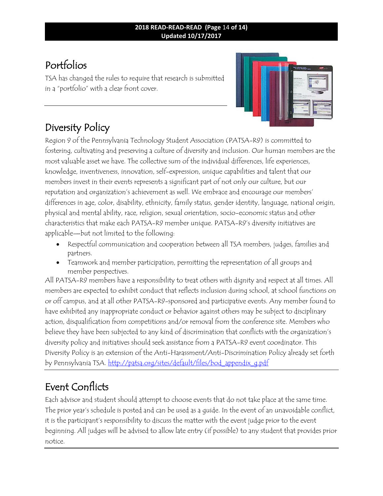### **2018 READ-READ-READ (Page** 14 **of 14) Updated 10/17/2017**

# Portfolios

TSA has changed the rules to require that research is submitted in a "portfolio" with a clear front cover.



# Diversity Policy

Region 9 of the Pennsylvania Technology Student Association (PATSA-R9) is committed to fostering, cultivating and preserving a culture of diversity and inclusion. Our human members are the most valuable asset we have. The collective sum of the individual differences, life experiences, knowledge, inventiveness, innovation, self-expression, unique capabilities and talent that our members invest in their events represents a significant part of not only our culture, but our reputation and organization's achievement as well. We embrace and encourage our members' differences in age, color, disability, ethnicity, family status, gender identity, language, national origin, physical and mental ability, race, religion, sexual orientation, socio-economic status and other characteristics that make each PATSA-R9 member unique. PATSA-R9's diversity initiatives are applicable—but not limited to the following:

- Respectful communication and cooperation between all TSA members, judges, families and partners.
- Teamwork and member participation, permitting the representation of all groups and member perspectives.

All PATSA-R9 members have a responsibility to treat others with dignity and respect at all times. All members are expected to exhibit conduct that reflects inclusion during school, at school functions on or off campus, and at all other PATSA-R9-sponsored and participative events. Any member found to have exhibited any inappropriate conduct or behavior against others may be subject to disciplinary action, disqualification from competitions and/or removal from the conference site. Members who believe they have been subjected to any kind of discrimination that conflicts with the organization's diversity policy and initiatives should seek assistance from a PATSA-R9 event coordinator. This Diversity Policy is an extension of the Anti-Harassment/Anti-Discrimination Policy already set forth by Pennsylvania TSA. [http://patsa.org/sites/default/files/bod\\_appendix\\_g.pdf](http://patsa.org/sites/default/files/bod_appendix_g.pdf)

# Event Conflicts

Each advisor and student should attempt to choose events that do not take place at the same time. The prior year's schedule is posted and can be used as a guide. In the event of an unavoidable conflict, it is the participant's responsibility to discuss the matter with the event judge prior to the event beginning. All judges will be advised to allow late entry (if possible) to any student that provides prior notice.